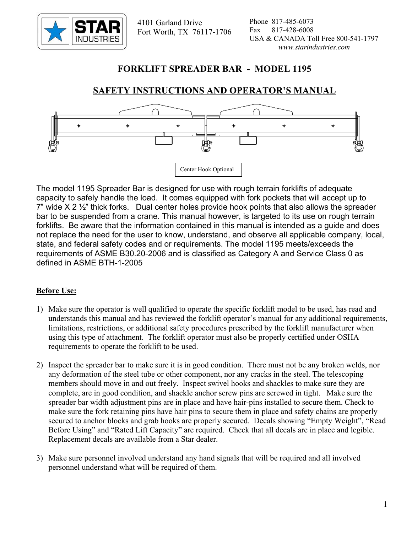

 4101 Garland Drive Fort Worth, TX 76117-1706

# **FORKLIFT SPREADER BAR - MODEL 1195**

# **SAFETY INSTRUCTIONS AND OPERATOR'S MANUAL**



The model 1195 Spreader Bar is designed for use with rough terrain forklifts of adequate capacity to safely handle the load. It comes equipped with fork pockets that will accept up to  $7$ " wide X 2  $\frac{1}{2}$ " thick forks. Dual center holes provide hook points that also allows the spreader bar to be suspended from a crane. This manual however, is targeted to its use on rough terrain forklifts. Be aware that the information contained in this manual is intended as a guide and does not replace the need for the user to know, understand, and observe all applicable company, local, state, and federal safety codes and or requirements. The model 1195 meets/exceeds the requirements of ASME B30.20-2006 and is classified as Category A and Service Class 0 as defined in ASME BTH-1-2005

### **Before Use:**

- 1) Make sure the operator is well qualified to operate the specific forklift model to be used, has read and understands this manual and has reviewed the forklift operator's manual for any additional requirements, limitations, restrictions, or additional safety procedures prescribed by the forklift manufacturer when using this type of attachment. The forklift operator must also be properly certified under OSHA requirements to operate the forklift to be used.
- 2) Inspect the spreader bar to make sure it is in good condition. There must not be any broken welds, nor any deformation of the steel tube or other component, nor any cracks in the steel. The telescoping members should move in and out freely. Inspect swivel hooks and shackles to make sure they are complete, are in good condition, and shackle anchor screw pins are screwed in tight. Make sure the spreader bar width adjustment pins are in place and have hair-pins installed to secure them. Check to make sure the fork retaining pins have hair pins to secure them in place and safety chains are properly secured to anchor blocks and grab hooks are properly secured. Decals showing "Empty Weight", "Read Before Using" and "Rated Lift Capacity" are required. Check that all decals are in place and legible. Replacement decals are available from a Star dealer.
- 3) Make sure personnel involved understand any hand signals that will be required and all involved personnel understand what will be required of them.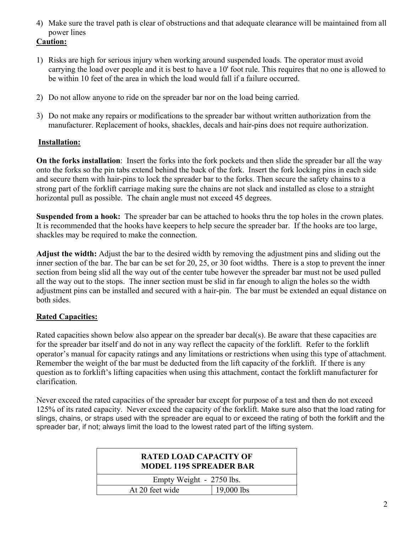4) Make sure the travel path is clear of obstructions and that adequate clearance will be maintained from all power lines

#### **Caution:**

- 1) Risks are high for serious injury when working around suspended loads. The operator must avoid carrying the load over people and it is best to have a 10' foot rule. This requires that no one is allowed to be within 10 feet of the area in which the load would fall if a failure occurred.
- 2) Do not allow anyone to ride on the spreader bar nor on the load being carried.
- 3) Do not make any repairs or modifications to the spreader bar without written authorization from the manufacturer. Replacement of hooks, shackles, decals and hair-pins does not require authorization.

## **Installation:**

**On the forks installation**: Insert the forks into the fork pockets and then slide the spreader bar all the way onto the forks so the pin tabs extend behind the back of the fork. Insert the fork locking pins in each side and secure them with hair-pins to lock the spreader bar to the forks. Then secure the safety chains to a strong part of the forklift carriage making sure the chains are not slack and installed as close to a straight horizontal pull as possible. The chain angle must not exceed 45 degrees.

**Suspended from a hook:** The spreader bar can be attached to hooks thru the top holes in the crown plates. It is recommended that the hooks have keepers to help secure the spreader bar. If the hooks are too large, shackles may be required to make the connection.

**Adjust the width:** Adjust the bar to the desired width by removing the adjustment pins and sliding out the inner section of the bar. The bar can be set for 20, 25, or 30 foot widths. There is a stop to prevent the inner section from being slid all the way out of the center tube however the spreader bar must not be used pulled all the way out to the stops. The inner section must be slid in far enough to align the holes so the width adjustment pins can be installed and secured with a hair-pin. The bar must be extended an equal distance on both sides.

# **Rated Capacities:**

Rated capacities shown below also appear on the spreader bar decal(s). Be aware that these capacities are for the spreader bar itself and do not in any way reflect the capacity of the forklift. Refer to the forklift operator's manual for capacity ratings and any limitations or restrictions when using this type of attachment. Remember the weight of the bar must be deducted from the lift capacity of the forklift. If there is any question as to forklift's lifting capacities when using this attachment, contact the forklift manufacturer for clarification.

Never exceed the rated capacities of the spreader bar except for purpose of a test and then do not exceed 125% of its rated capacity. Never exceed the capacity of the forklift. Make sure also that the load rating for slings, chains, or straps used with the spreader are equal to or exceed the rating of both the forklift and the spreader bar, if not; always limit the load to the lowest rated part of the lifting system.

| <b>RATED LOAD CAPACITY OF</b><br><b>MODEL 1195 SPREADER BAR</b> |              |
|-----------------------------------------------------------------|--------------|
| Empty Weight - 2750 lbs.                                        |              |
| At 20 feet wide                                                 | $19,000$ lbs |